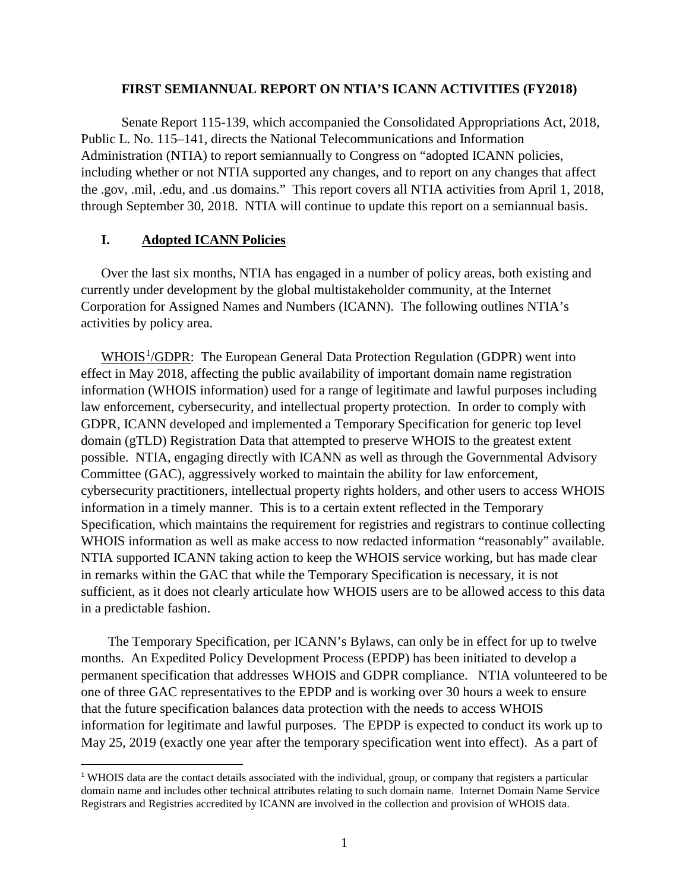## **FIRST SEMIANNUAL REPORT ON NTIA'S ICANN ACTIVITIES (FY2018)**

Senate Report 115-139, which accompanied the Consolidated Appropriations Act, 2018, Public L. No. 115–141, directs the National Telecommunications and Information Administration (NTIA) to report semiannually to Congress on "adopted ICANN policies, including whether or not NTIA supported any changes, and to report on any changes that affect the .gov, .mil, .edu, and .us domains." This report covers all NTIA activities from April 1, 2018, through September 30, 2018. NTIA will continue to update this report on a semiannual basis.

## **I. Adopted ICANN Policies**

Over the last six months, NTIA has engaged in a number of policy areas, both existing and currently under development by the global multistakeholder community, at the Internet Corporation for Assigned Names and Numbers (ICANN). The following outlines NTIA's activities by policy area.

WHOIS<sup>[1](#page-0-0)</sup>/GDPR: The European General Data Protection Regulation (GDPR) went into effect in May 2018, affecting the public availability of important domain name registration information (WHOIS information) used for a range of legitimate and lawful purposes including law enforcement, cybersecurity, and intellectual property protection. In order to comply with GDPR, ICANN developed and implemented a Temporary Specification for generic top level domain (gTLD) Registration Data that attempted to preserve WHOIS to the greatest extent possible. NTIA, engaging directly with ICANN as well as through the Governmental Advisory Committee (GAC), aggressively worked to maintain the ability for law enforcement, cybersecurity practitioners, intellectual property rights holders, and other users to access WHOIS information in a timely manner. This is to a certain extent reflected in the Temporary Specification, which maintains the requirement for registries and registrars to continue collecting WHOIS information as well as make access to now redacted information "reasonably" available. NTIA supported ICANN taking action to keep the WHOIS service working, but has made clear in remarks within the GAC that while the Temporary Specification is necessary, it is not sufficient, as it does not clearly articulate how WHOIS users are to be allowed access to this data in a predictable fashion.

The Temporary Specification, per ICANN's Bylaws, can only be in effect for up to twelve months. An Expedited Policy Development Process (EPDP) has been initiated to develop a permanent specification that addresses WHOIS and GDPR compliance. NTIA volunteered to be one of three GAC representatives to the EPDP and is working over 30 hours a week to ensure that the future specification balances data protection with the needs to access WHOIS information for legitimate and lawful purposes. The EPDP is expected to conduct its work up to May 25, 2019 (exactly one year after the temporary specification went into effect). As a part of

<span id="page-0-0"></span><sup>&</sup>lt;sup>1</sup> WHOIS data are the contact details associated with the individual, group, or company that registers a particular domain name and includes other technical attributes relating to such domain name. Internet Domain Name Service Registrars and Registries accredited by ICANN are involved in the collection and provision of WHOIS data.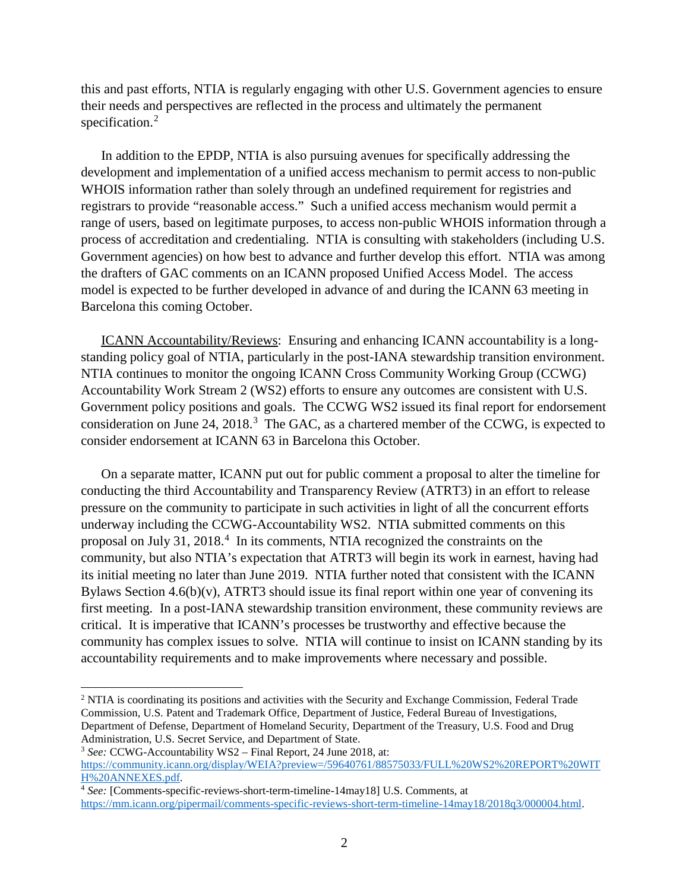this and past efforts, NTIA is regularly engaging with other U.S. Government agencies to ensure their needs and perspectives are reflected in the process and ultimately the permanent specification. [2](#page-1-0)

In addition to the EPDP, NTIA is also pursuing avenues for specifically addressing the development and implementation of a unified access mechanism to permit access to non-public WHOIS information rather than solely through an undefined requirement for registries and registrars to provide "reasonable access." Such a unified access mechanism would permit a range of users, based on legitimate purposes, to access non-public WHOIS information through a process of accreditation and credentialing. NTIA is consulting with stakeholders (including U.S. Government agencies) on how best to advance and further develop this effort. NTIA was among the drafters of GAC comments on an ICANN proposed Unified Access Model. The access model is expected to be further developed in advance of and during the ICANN 63 meeting in Barcelona this coming October.

ICANN Accountability/Reviews: Ensuring and enhancing ICANN accountability is a longstanding policy goal of NTIA, particularly in the post-IANA stewardship transition environment. NTIA continues to monitor the ongoing ICANN Cross Community Working Group (CCWG) Accountability Work Stream 2 (WS2) efforts to ensure any outcomes are consistent with U.S. Government policy positions and goals. The CCWG WS2 issued its final report for endorsement consideration on June 24, 2018.<sup>[3](#page-1-1)</sup> The GAC, as a chartered member of the CCWG, is expected to consider endorsement at ICANN 63 in Barcelona this October.

On a separate matter, ICANN put out for public comment a proposal to alter the timeline for conducting the third Accountability and Transparency Review (ATRT3) in an effort to release pressure on the community to participate in such activities in light of all the concurrent efforts underway including the CCWG-Accountability WS2. NTIA submitted comments on this proposal on July 31, 2018.<sup>[4](#page-1-2)</sup> In its comments, NTIA recognized the constraints on the community, but also NTIA's expectation that ATRT3 will begin its work in earnest, having had its initial meeting no later than June 2019. NTIA further noted that consistent with the ICANN Bylaws Section 4.6(b)(v), ATRT3 should issue its final report within one year of convening its first meeting. In a post-IANA stewardship transition environment, these community reviews are critical. It is imperative that ICANN's processes be trustworthy and effective because the community has complex issues to solve. NTIA will continue to insist on ICANN standing by its accountability requirements and to make improvements where necessary and possible.

l

<span id="page-1-0"></span><sup>&</sup>lt;sup>2</sup> NTIA is coordinating its positions and activities with the Security and Exchange Commission, Federal Trade Commission, U.S. Patent and Trademark Office, Department of Justice, Federal Bureau of Investigations, Department of Defense, Department of Homeland Security, Department of the Treasury, U.S. Food and Drug Administration, U.S. Secret Service, and Department of State. 3 *See:* CCWG-Accountability WS2 – Final Report, 24 June 2018, at:

<span id="page-1-1"></span>[https://community.icann.org/display/WEIA?preview=/59640761/88575033/FULL%20WS2%20REPORT%20WIT](https://community.icann.org/display/WEIA?preview=/59640761/88575033/FULL%20WS2%20REPORT%20WITH%20ANNEXES.pdf) [H%20ANNEXES.pdf.](https://community.icann.org/display/WEIA?preview=/59640761/88575033/FULL%20WS2%20REPORT%20WITH%20ANNEXES.pdf)

<span id="page-1-2"></span><sup>4</sup> *See:* [Comments-specific-reviews-short-term-timeline-14may18] U.S. Comments, at [https://mm.icann.org/pipermail/comments-specific-reviews-short-term-timeline-14may18/2018q3/000004.html.](https://mm.icann.org/pipermail/comments-specific-reviews-short-term-timeline-14may18/2018q3/000004.html)